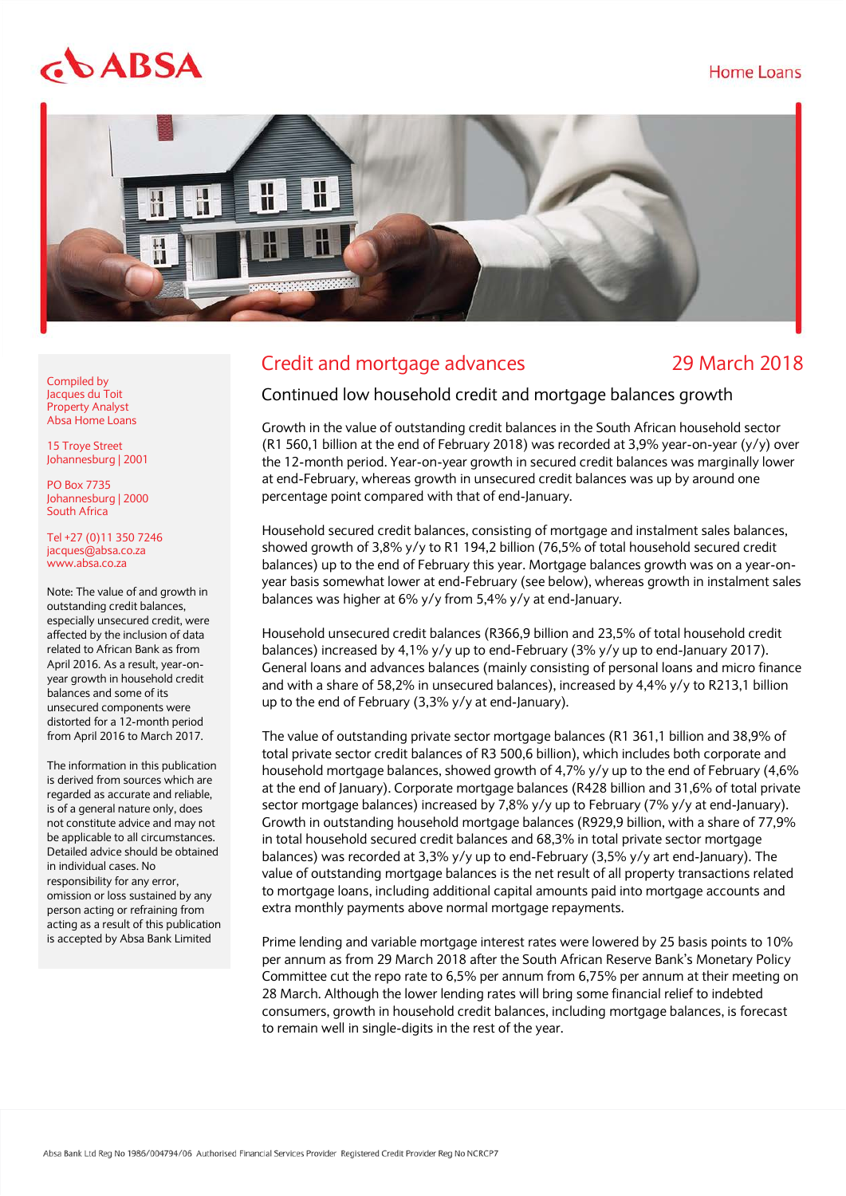## Home Loans

# $$



# Credit and mortgage advances 29 March 2018

Compiled by Jacques du Toit Property Analyst Absa Home Loans

15 Troye Street Johannesburg | 2001

PO Box 7735 Johannesburg | 2000 South Africa

Tel +27 (0)11 350 7246 jacques@absa.co.za [www.absa.co.za](http://www.absa.co.za/)

Note: The value of and growth in outstanding credit balances, especially unsecured credit, were affected by the inclusion of data related to African Bank as from April 2016. As a result, year-onyear growth in household credit balances and some of its unsecured components were distorted for a 12-month period from April 2016 to March 2017.

The information in this publication is derived from sources which are regarded as accurate and reliable, is of a general nature only, does not constitute advice and may not be applicable to all circumstances. Detailed advice should be obtained in individual cases. No responsibility for any error, omission or loss sustained by any person acting or refraining from acting as a result of this publication is accepted by Absa Bank Limited

# Continued low household credit and mortgage balances growth

Growth in the value of outstanding credit balances in the South African household sector (R1 560,1 billion at the end of February 2018) was recorded at 3,9% year-on-year (y/y) over the 12-month period. Year-on-year growth in secured credit balances was marginally lower at end-February, whereas growth in unsecured credit balances was up by around one percentage point compared with that of end-January.

Household secured credit balances, consisting of mortgage and instalment sales balances, showed growth of 3,8% y/y to R1 194,2 billion (76,5% of total household secured credit balances) up to the end of February this year. Mortgage balances growth was on a year-onyear basis somewhat lower at end-February (see below), whereas growth in instalment sales balances was higher at 6% y/y from 5,4% y/y at end-January.

Household unsecured credit balances (R366,9 billion and 23,5% of total household credit balances) increased by 4,1% y/y up to end-February (3% y/y up to end-January 2017). General loans and advances balances (mainly consisting of personal loans and micro finance and with a share of 58,2% in unsecured balances), increased by 4,4% y/y to R213,1 billion up to the end of February (3,3% y/y at end-January).

The value of outstanding private sector mortgage balances (R1 361,1 billion and 38,9% of total private sector credit balances of R3 500,6 billion), which includes both corporate and household mortgage balances, showed growth of 4,7% y/y up to the end of February (4,6% at the end of January). Corporate mortgage balances (R428 billion and 31,6% of total private sector mortgage balances) increased by 7,8% y/y up to February (7% y/y at end-January). Growth in outstanding household mortgage balances (R929,9 billion, with a share of 77,9% in total household secured credit balances and 68,3% in total private sector mortgage balances) was recorded at 3,3% y/y up to end-February (3,5% y/y art end-January). The value of outstanding mortgage balances is the net result of all property transactions related to mortgage loans, including additional capital amounts paid into mortgage accounts and extra monthly payments above normal mortgage repayments.

Prime lending and variable mortgage interest rates were lowered by 25 basis points to 10% per annum as from 29 March 2018 after the South African Reserve Bank's Monetary Policy Committee cut the repo rate to 6,5% per annum from 6,75% per annum at their meeting on 28 March. Although the lower lending rates will bring some financial relief to indebted consumers, growth in household credit balances, including mortgage balances, is forecast to remain well in single-digits in the rest of the year.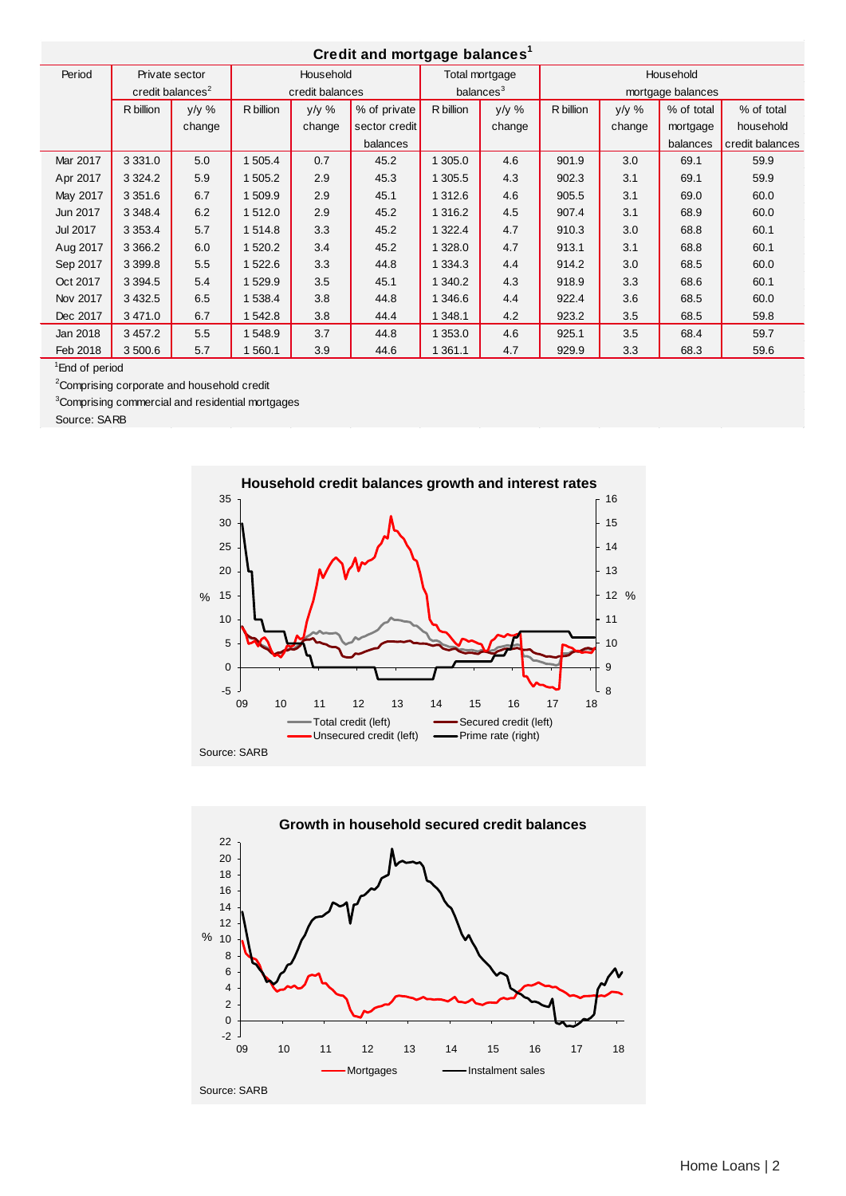### **Credit and mortgage balances<sup>1</sup>**

| Giedil and mortgage balances |                              |          |                 |        |               |                       |        |                   |        |            |                 |
|------------------------------|------------------------------|----------|-----------------|--------|---------------|-----------------------|--------|-------------------|--------|------------|-----------------|
| Period                       | Private sector               |          | Household       |        |               | Total mortgage        |        | Household         |        |            |                 |
|                              | credit balances <sup>2</sup> |          | credit balances |        |               | balances <sup>3</sup> |        | mortgage balances |        |            |                 |
|                              | R billion                    | $y/y \%$ | R billion       | y/y %  | % of private  | R billion             | y/y %  | R billion         | y/y %  | % of total | % of total      |
|                              |                              | change   |                 | change | sector credit |                       | change |                   | change | mortgage   | household       |
|                              |                              |          |                 |        | balances      |                       |        |                   |        | balances   | credit balances |
| Mar 2017                     | 3 3 3 1 . 0                  | 5.0      | 1 505.4         | 0.7    | 45.2          | 1 305.0               | 4.6    | 901.9             | 3.0    | 69.1       | 59.9            |
| Apr 2017                     | 3 3 2 4 . 2                  | 5.9      | 1 505.2         | 2.9    | 45.3          | 1 305.5               | 4.3    | 902.3             | 3.1    | 69.1       | 59.9            |
| May 2017                     | 3 3 5 1 . 6                  | 6.7      | 1 509.9         | 2.9    | 45.1          | 1 312.6               | 4.6    | 905.5             | 3.1    | 69.0       | 60.0            |
| Jun 2017                     | 3 3 4 8 . 4                  | 6.2      | 1 512.0         | 2.9    | 45.2          | 1 316.2               | 4.5    | 907.4             | 3.1    | 68.9       | 60.0            |
| Jul 2017                     | 3 3 5 3 . 4                  | 5.7      | 1 514.8         | 3.3    | 45.2          | 1 322.4               | 4.7    | 910.3             | 3.0    | 68.8       | 60.1            |
| Aug 2017                     | 3 3 6 6.2                    | 6.0      | 1 520.2         | 3.4    | 45.2          | 1 328.0               | 4.7    | 913.1             | 3.1    | 68.8       | 60.1            |
| Sep 2017                     | 3 3 9 9.8                    | 5.5      | 1 522.6         | 3.3    | 44.8          | 1 334.3               | 4.4    | 914.2             | 3.0    | 68.5       | 60.0            |
| Oct 2017                     | 3 3 9 4 .5                   | 5.4      | 1 529.9         | 3.5    | 45.1          | 1 340.2               | 4.3    | 918.9             | 3.3    | 68.6       | 60.1            |
| Nov 2017                     | 3 4 3 2.5                    | 6.5      | 1538.4          | 3.8    | 44.8          | 1 346.6               | 4.4    | 922.4             | 3.6    | 68.5       | 60.0            |
| Dec 2017                     | 3 4 7 1 .0                   | 6.7      | 542.8           | 3.8    | 44.4          | 1 348.1               | 4.2    | 923.2             | 3.5    | 68.5       | 59.8            |
| Jan 2018                     | 3 457.2                      | 5.5      | 548.9           | 3.7    | 44.8          | 1 353.0               | 4.6    | 925.1             | 3.5    | 68.4       | 59.7            |
| Feb 2018                     | 3 500.6                      | 5.7      | 560.1           | 3.9    | 44.6          | 1 361.1               | 4.7    | 929.9             | 3.3    | 68.3       | 59.6            |

1 End of period

<sup>2</sup>Comprising corporate and household credit

<sup>3</sup>Comprising commercial and residential mortgages

Source: SARB